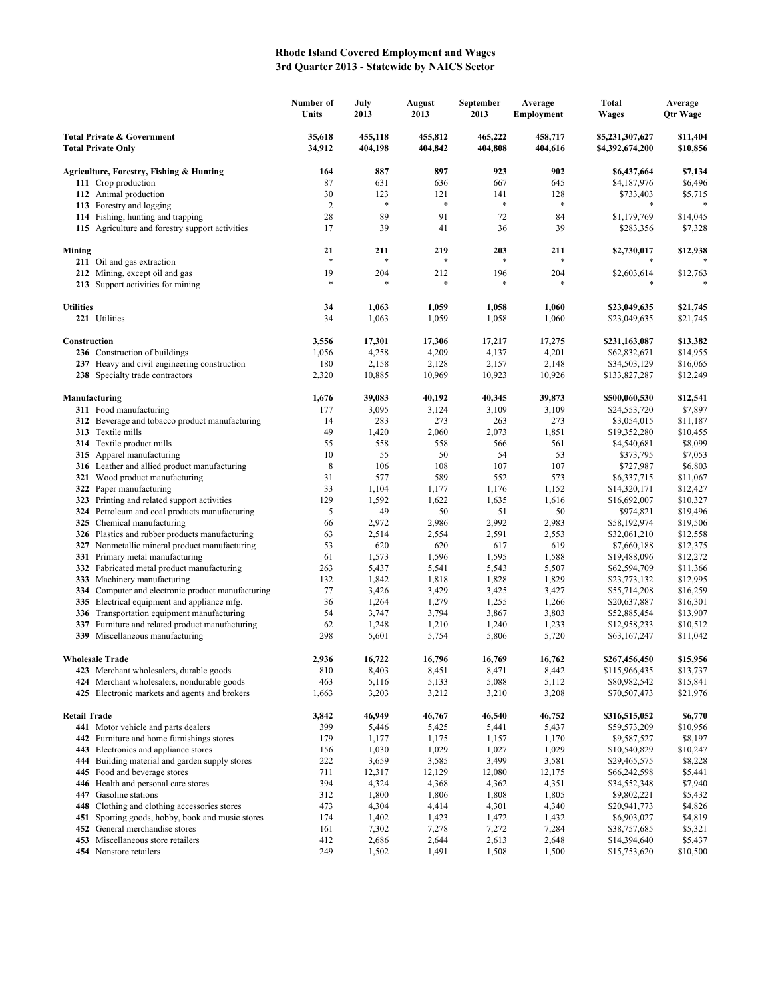## **Rhode Island Covered Employment and Wages 3rd Quarter 2013 - Statewide by NAICS Sector**

|                                                                    |                                                                                             | Number of<br>Units | July<br>2013       | <b>August</b><br>2013 | September<br>2013  | Average<br>Employment | <b>Total</b><br>Wages              | Average<br><b>Qtr Wage</b> |
|--------------------------------------------------------------------|---------------------------------------------------------------------------------------------|--------------------|--------------------|-----------------------|--------------------|-----------------------|------------------------------------|----------------------------|
| <b>Total Private &amp; Government</b><br><b>Total Private Only</b> |                                                                                             | 35,618<br>34,912   | 455,118<br>404,198 | 455,812<br>404,842    | 465,222<br>404,808 | 458,717<br>404,616    | \$5,231,307,627<br>\$4,392,674,200 | \$11,404<br>\$10,856       |
|                                                                    | Agriculture, Forestry, Fishing & Hunting                                                    | 164                | 887                | 897                   | 923                | 902                   | \$6,437,664                        | \$7,134                    |
|                                                                    | 111 Crop production                                                                         | 87                 | 631                | 636                   | 667                | 645                   | \$4,187,976                        | \$6,496                    |
|                                                                    | 112 Animal production                                                                       | 30                 | 123                | 121                   | 141                | 128                   | \$733,403                          | \$5,715                    |
|                                                                    | 113 Forestry and logging                                                                    | $\overline{2}$     | $\ast$             | $\ast$                | $\ast$             | $\ast$                | *                                  |                            |
|                                                                    | 114 Fishing, hunting and trapping                                                           | 28                 | 89                 | 91                    | 72                 | 84                    | \$1,179,769                        | \$14,045                   |
|                                                                    | 115 Agriculture and forestry support activities                                             | 17                 | 39                 | 41                    | 36                 | 39                    | \$283,356                          | \$7,328                    |
| Mining                                                             |                                                                                             | 21<br>$\ast$       | 211                | 219<br>*              | 203<br>$\ast$      | 211                   | \$2,730,017                        | \$12,938                   |
|                                                                    | 211 Oil and gas extraction                                                                  |                    | *                  |                       |                    |                       |                                    |                            |
|                                                                    | 212 Mining, except oil and gas<br>213 Support activities for mining                         | 19<br>$\ast$       | 204<br>*           | 212<br>$\ast$         | 196                | 204                   | \$2,603,614<br>*                   | \$12,763                   |
| <b>Utilities</b>                                                   |                                                                                             | 34                 | 1,063              | 1,059                 | 1,058              | 1,060                 | \$23,049,635                       | \$21,745                   |
|                                                                    | 221 Utilities                                                                               | 34                 | 1,063              | 1,059                 | 1,058              | 1,060                 | \$23,049,635                       | \$21,745                   |
| Construction                                                       |                                                                                             | 3,556              | 17,301             | 17,306                | 17,217             | 17,275                | \$231,163,087                      | \$13,382                   |
|                                                                    | 236 Construction of buildings                                                               | 1,056              | 4,258              | 4,209                 | 4,137              | 4,201                 | \$62,832,671                       | \$14,955                   |
|                                                                    | 237 Heavy and civil engineering construction                                                | 180                | 2,158              | 2,128                 | 2,157              | 2,148                 | \$34,503,129                       | \$16,065                   |
|                                                                    | 238 Specialty trade contractors                                                             | 2,320              | 10,885             | 10,969                | 10,923             | 10,926                | \$133,827,287                      | \$12,249                   |
|                                                                    | Manufacturing                                                                               | 1,676              | 39,083             | 40,192                | 40,345             | 39,873                | \$500,060,530                      | \$12,541                   |
|                                                                    | 311 Food manufacturing                                                                      | 177                | 3,095              | 3,124                 | 3,109              | 3,109                 | \$24,553,720                       | \$7,897                    |
|                                                                    | 312 Beverage and tobacco product manufacturing                                              | 14                 | 283                | 273                   | 263                | 273                   | \$3,054,015                        | \$11,187                   |
|                                                                    | 313 Textile mills                                                                           | 49                 | 1,420              | 2,060                 | 2,073              | 1,851                 | \$19,352,280                       | \$10,455                   |
|                                                                    | 314 Textile product mills                                                                   | 55                 | 558                | 558                   | 566                | 561                   | \$4,540,681                        | \$8,099                    |
|                                                                    | 315 Apparel manufacturing                                                                   | 10                 | 55                 | 50                    | 54                 | 53                    | \$373,795                          | \$7,053                    |
|                                                                    | 316 Leather and allied product manufacturing                                                | 8                  | 106                | 108                   | 107                | 107                   | \$727,987                          | \$6,803                    |
|                                                                    | 321 Wood product manufacturing                                                              | 31                 | 577                | 589                   | 552                | 573                   | \$6,337,715                        | \$11,067                   |
|                                                                    | 322 Paper manufacturing<br>323 Printing and related support activities                      | 33<br>129          | 1,104<br>1,592     | 1,177<br>1,622        | 1,176<br>1,635     | 1,152<br>1,616        | \$14,320,171<br>\$16,692,007       | \$12,427<br>\$10,327       |
|                                                                    | 324 Petroleum and coal products manufacturing                                               | 5                  | 49                 | 50                    | 51                 | 50                    | \$974,821                          | \$19,496                   |
|                                                                    | 325 Chemical manufacturing                                                                  | 66                 | 2,972              | 2,986                 | 2,992              | 2,983                 | \$58,192,974                       | \$19,506                   |
|                                                                    | 326 Plastics and rubber products manufacturing                                              | 63                 | 2,514              | 2,554                 | 2,591              | 2,553                 | \$32,061,210                       | \$12,558                   |
|                                                                    | 327 Nonmetallic mineral product manufacturing                                               | 53                 | 620                | 620                   | 617                | 619                   | \$7,660,188                        | \$12,375                   |
|                                                                    | 331 Primary metal manufacturing                                                             | 61                 | 1,573              | 1,596                 | 1,595              | 1,588                 | \$19,488,096                       | \$12,272                   |
|                                                                    | 332 Fabricated metal product manufacturing                                                  | 263                | 5,437              | 5,541                 | 5,543              | 5,507                 | \$62,594,709                       | \$11,366                   |
|                                                                    | 333 Machinery manufacturing                                                                 | 132                | 1,842              | 1,818                 | 1,828              | 1,829                 | \$23,773,132                       | \$12,995                   |
|                                                                    | 334 Computer and electronic product manufacturing                                           | 77                 | 3,426              | 3,429                 | 3,425              | 3,427                 | \$55,714,208                       | \$16,259                   |
|                                                                    | 335 Electrical equipment and appliance mfg.                                                 | 36                 | 1,264              | 1,279                 | 1,255              | 1,266                 | \$20,637,887                       | \$16,301                   |
|                                                                    | 336 Transportation equipment manufacturing                                                  | 54                 | 3,747              | 3,794                 | 3,867              | 3,803                 | \$52,885,454                       | \$13,907                   |
|                                                                    | 337 Furniture and related product manufacturing                                             | 62                 | 1,248              | 1,210                 | 1,240              | 1,233                 | \$12,958,233                       | \$10,512                   |
|                                                                    | 339 Miscellaneous manufacturing                                                             | 298                | 5,601              | 5,754                 | 5,806              | 5,720                 | \$63,167,247                       | \$11,042                   |
|                                                                    | <b>Wholesale Trade</b>                                                                      | 2,936              | 16,722             | 16,796                | 16,769             | 16,762                | \$267,456,450                      | \$15,956                   |
|                                                                    | 423 Merchant wholesalers, durable goods                                                     | 810                | 8,403              | 8,451                 | 8,471              | 8,442                 | \$115,966,435                      | \$13,737                   |
|                                                                    | 424 Merchant wholesalers, nondurable goods<br>425 Electronic markets and agents and brokers | 463<br>1,663       | 5,116<br>3,203     | 5,133<br>3,212        | 5,088<br>3,210     | 5,112<br>3,208        | \$80,982,542<br>\$70,507,473       | \$15,841<br>\$21,976       |
| <b>Retail Trade</b>                                                |                                                                                             | 3,842              | 46,949             | 46,767                | 46,540             | 46,752                | \$316,515,052                      | \$6,770                    |
|                                                                    | 441 Motor vehicle and parts dealers                                                         | 399                | 5,446              | 5,425                 | 5,441              | 5,437                 | \$59,573,209                       | \$10,956                   |
|                                                                    | 442 Furniture and home furnishings stores                                                   | 179                | 1,177              | 1,175                 | 1,157              | 1,170                 | \$9,587,527                        | \$8,197                    |
| 443                                                                | Electronics and appliance stores                                                            | 156                | 1,030              | 1,029                 | 1,027              | 1,029                 | \$10,540,829                       | \$10,247                   |
|                                                                    | 444 Building material and garden supply stores                                              | 222                | 3,659              | 3,585                 | 3,499              | 3,581                 | \$29,465,575                       | \$8,228                    |
| 445                                                                | Food and beverage stores                                                                    | 711                | 12,317             | 12,129                | 12,080             | 12,175                | \$66,242,598                       | \$5,441                    |
|                                                                    | 446 Health and personal care stores                                                         | 394                | 4,324              | 4,368                 | 4,362              | 4,351                 | \$34,552,348                       | \$7,940                    |
| 447                                                                | Gasoline stations                                                                           | 312                | 1,800              | 1,806                 | 1,808              | 1,805                 | \$9,802,221                        | \$5,432                    |
|                                                                    | 448 Clothing and clothing accessories stores                                                | 473                | 4,304              | 4,414                 | 4,301              | 4,340                 | \$20,941,773                       | \$4,826                    |
| 451                                                                | Sporting goods, hobby, book and music stores                                                | 174                | 1,402              | 1,423                 | 1,472              | 1,432                 | \$6,903,027                        | \$4,819                    |
|                                                                    | 452 General merchandise stores                                                              | 161                | 7,302              | 7,278                 | 7,272              | 7,284                 | \$38,757,685                       | \$5,321                    |
| 453                                                                | Miscellaneous store retailers                                                               | 412                | 2,686              | 2,644                 | 2,613              | 2,648                 | \$14,394,640                       | \$5,437                    |
|                                                                    | 454 Nonstore retailers                                                                      | 249                | 1,502              | 1,491                 | 1,508              | 1,500                 | \$15,753,620                       | \$10,500                   |